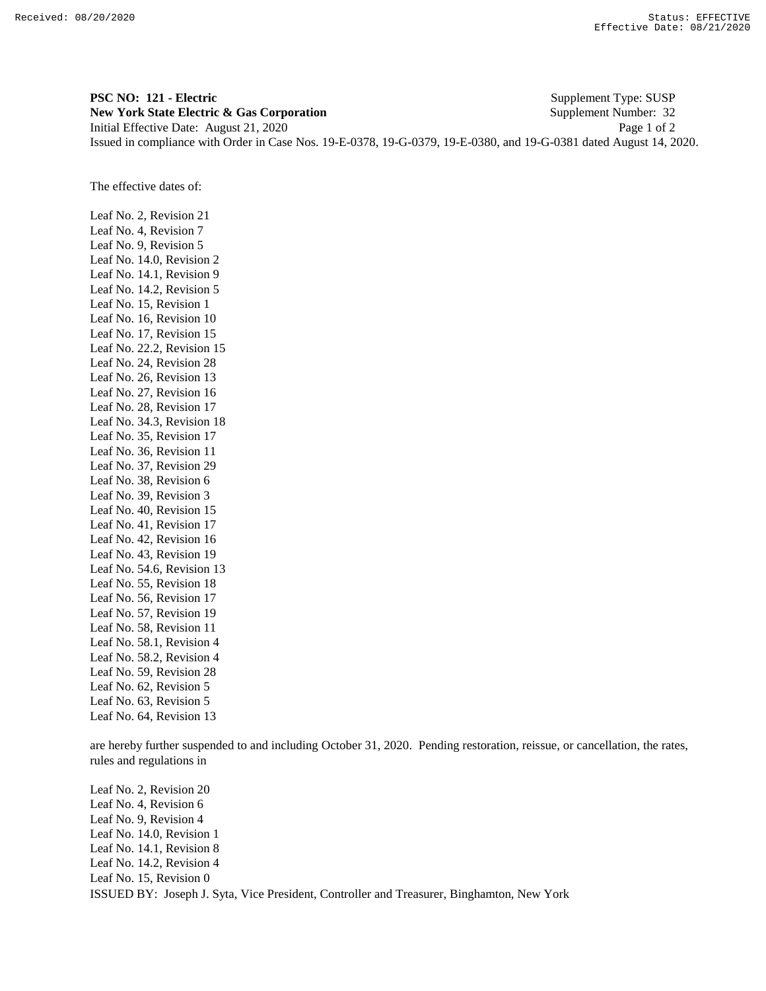**PSC NO: 121 - Electric** Supplement Type: SUSP **New York State Electric & Gas Corporation** Supplement Number: 32 Initial Effective Date: August 21, 2020 Page 1 of 2 Issued in compliance with Order in Case Nos. 19-E-0378, 19-G-0379, 19-E-0380, and 19-G-0381 dated August 14, 2020.

The effective dates of:

Leaf No. 2, Revision 21 Leaf No. 4, Revision 7 Leaf No. 9, Revision 5 Leaf No. 14.0, Revision 2 Leaf No. 14.1, Revision 9 Leaf No. 14.2, Revision 5 Leaf No. 15, Revision 1 Leaf No. 16, Revision 10 Leaf No. 17, Revision 15 Leaf No. 22.2, Revision 15 Leaf No. 24, Revision 28 Leaf No. 26, Revision 13 Leaf No. 27, Revision 16 Leaf No. 28, Revision 17 Leaf No. 34.3, Revision 18 Leaf No. 35, Revision 17 Leaf No. 36, Revision 11 Leaf No. 37, Revision 29 Leaf No. 38, Revision 6 Leaf No. 39, Revision 3 Leaf No. 40, Revision 15 Leaf No. 41, Revision 17 Leaf No. 42, Revision 16 Leaf No. 43, Revision 19 Leaf No. 54.6, Revision 13 Leaf No. 55, Revision 18 Leaf No. 56, Revision 17 Leaf No. 57, Revision 19 Leaf No. 58, Revision 11 Leaf No. 58.1, Revision 4 Leaf No. 58.2, Revision 4 Leaf No. 59, Revision 28 Leaf No. 62, Revision 5 Leaf No. 63, Revision 5 Leaf No. 64, Revision 13

are hereby further suspended to and including October 31, 2020. Pending restoration, reissue, or cancellation, the rates, rules and regulations in

ISSUED BY: Joseph J. Syta, Vice President, Controller and Treasurer, Binghamton, New York Leaf No. 2, Revision 20 Leaf No. 4, Revision 6 Leaf No. 9, Revision 4 Leaf No. 14.0, Revision 1 Leaf No. 14.1, Revision 8 Leaf No. 14.2, Revision 4 Leaf No. 15, Revision 0